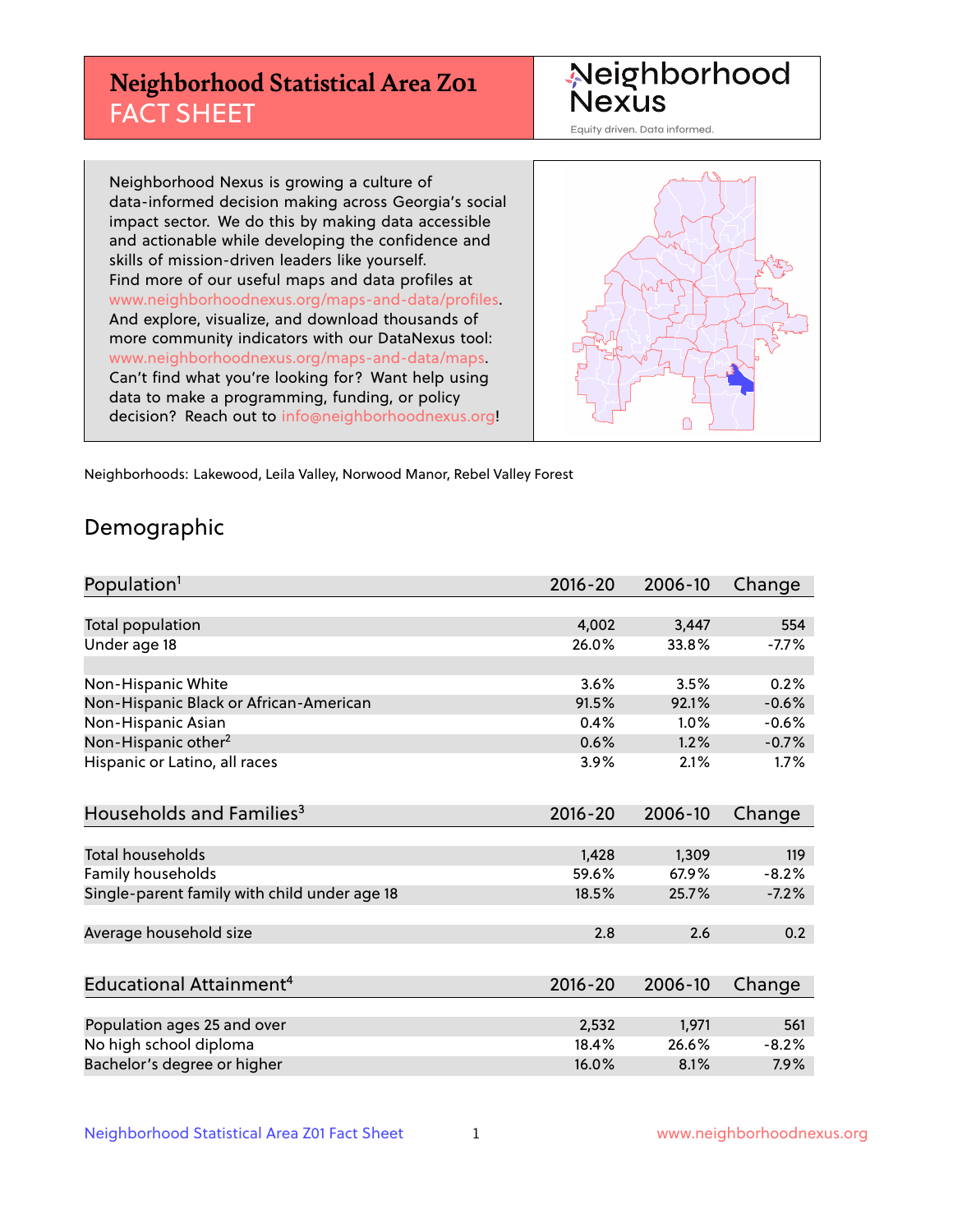## **Neighborhood Statistical Area Z01** FACT SHEET

Neighborhood Nexus

Equity driven. Data informed.

Neighborhood Nexus is growing a culture of data-informed decision making across Georgia's social impact sector. We do this by making data accessible and actionable while developing the confidence and skills of mission-driven leaders like yourself. Find more of our useful maps and data profiles at www.neighborhoodnexus.org/maps-and-data/profiles. And explore, visualize, and download thousands of more community indicators with our DataNexus tool: www.neighborhoodnexus.org/maps-and-data/maps. Can't find what you're looking for? Want help using data to make a programming, funding, or policy decision? Reach out to [info@neighborhoodnexus.org!](mailto:info@neighborhoodnexus.org)



Neighborhoods: Lakewood, Leila Valley, Norwood Manor, Rebel Valley Forest

### Demographic

| Population <sup>1</sup>                      | $2016 - 20$ | 2006-10 | Change  |
|----------------------------------------------|-------------|---------|---------|
|                                              |             |         |         |
| Total population                             | 4,002       | 3,447   | 554     |
| Under age 18                                 | 26.0%       | 33.8%   | $-7.7%$ |
|                                              |             |         |         |
| Non-Hispanic White                           | 3.6%        | 3.5%    | 0.2%    |
| Non-Hispanic Black or African-American       | 91.5%       | 92.1%   | $-0.6%$ |
| Non-Hispanic Asian                           | 0.4%        | 1.0%    | $-0.6%$ |
| Non-Hispanic other <sup>2</sup>              | 0.6%        | 1.2%    | $-0.7%$ |
| Hispanic or Latino, all races                | 3.9%        | 2.1%    | 1.7%    |
| Households and Families <sup>3</sup>         | $2016 - 20$ | 2006-10 | Change  |
|                                              |             |         |         |
| Total households                             | 1,428       | 1,309   | 119     |
| Family households                            | 59.6%       | 67.9%   | $-8.2%$ |
| Single-parent family with child under age 18 | 18.5%       | 25.7%   | $-7.2%$ |
| Average household size                       | 2.8         | 2.6     | 0.2     |
|                                              |             |         |         |
| Educational Attainment <sup>4</sup>          | $2016 - 20$ | 2006-10 | Change  |
|                                              |             |         |         |
| Population ages 25 and over                  | 2,532       | 1,971   | 561     |
| No high school diploma                       | 18.4%       | 26.6%   | $-8.2%$ |
| Bachelor's degree or higher                  | 16.0%       | 8.1%    | 7.9%    |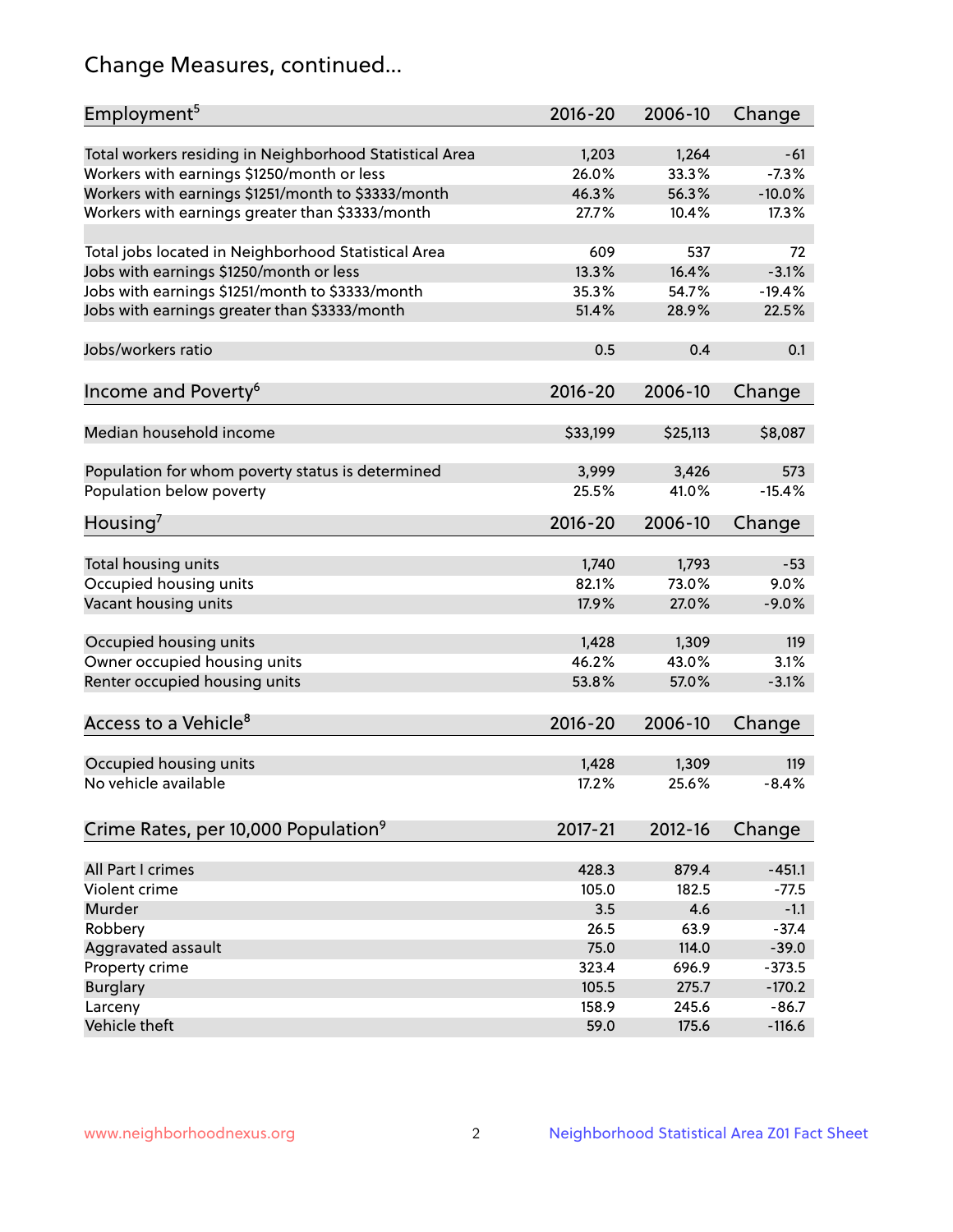## Change Measures, continued...

| Employment <sup>5</sup>                                                                               | $2016 - 20$    | 2006-10        | Change           |
|-------------------------------------------------------------------------------------------------------|----------------|----------------|------------------|
|                                                                                                       |                |                |                  |
| Total workers residing in Neighborhood Statistical Area                                               | 1,203<br>26.0% | 1,264<br>33.3% | $-61$<br>$-7.3%$ |
| Workers with earnings \$1250/month or less                                                            | 46.3%          | 56.3%          | $-10.0%$         |
| Workers with earnings \$1251/month to \$3333/month<br>Workers with earnings greater than \$3333/month | 27.7%          | 10.4%          | 17.3%            |
|                                                                                                       |                |                |                  |
| Total jobs located in Neighborhood Statistical Area                                                   | 609            | 537            | 72               |
| Jobs with earnings \$1250/month or less                                                               | 13.3%          | 16.4%          | $-3.1%$          |
| Jobs with earnings \$1251/month to \$3333/month                                                       | 35.3%          | 54.7%          | $-19.4%$         |
| Jobs with earnings greater than \$3333/month                                                          | 51.4%          | 28.9%          | 22.5%            |
|                                                                                                       |                |                |                  |
| Jobs/workers ratio                                                                                    | 0.5            | 0.4            | 0.1              |
|                                                                                                       |                |                |                  |
| Income and Poverty <sup>6</sup>                                                                       | $2016 - 20$    | 2006-10        | Change           |
|                                                                                                       |                |                |                  |
| Median household income                                                                               | \$33,199       | \$25,113       | \$8,087          |
|                                                                                                       |                |                |                  |
| Population for whom poverty status is determined                                                      | 3,999          | 3,426          | 573              |
| Population below poverty                                                                              | 25.5%          | 41.0%          | $-15.4%$         |
| Housing'                                                                                              | $2016 - 20$    | 2006-10        | Change           |
|                                                                                                       |                |                |                  |
| Total housing units                                                                                   | 1,740          | 1,793          | $-53$            |
| Occupied housing units                                                                                | 82.1%          | 73.0%          | 9.0%             |
| Vacant housing units                                                                                  | 17.9%          | 27.0%          | $-9.0%$          |
|                                                                                                       |                |                |                  |
| Occupied housing units                                                                                | 1,428          | 1,309          | 119              |
| Owner occupied housing units                                                                          | 46.2%          | 43.0%          | 3.1%             |
| Renter occupied housing units                                                                         | 53.8%          | 57.0%          | $-3.1%$          |
|                                                                                                       |                |                |                  |
| Access to a Vehicle <sup>8</sup>                                                                      | $2016 - 20$    | 2006-10        | Change           |
|                                                                                                       |                |                |                  |
| Occupied housing units                                                                                | 1,428          | 1,309          | 119              |
| No vehicle available                                                                                  | 17.2%          | 25.6%          | $-8.4%$          |
| Crime Rates, per 10,000 Population <sup>9</sup>                                                       | 2017-21        | 2012-16        | Change           |
|                                                                                                       |                |                |                  |
| All Part I crimes                                                                                     | 428.3          | 879.4          | $-451.1$         |
| Violent crime                                                                                         | 105.0          | 182.5          | $-77.5$          |
| Murder                                                                                                | 3.5            | 4.6            | $-1.1$           |
| Robbery                                                                                               | 26.5           | 63.9           | $-37.4$          |
| Aggravated assault                                                                                    | 75.0           | 114.0          | $-39.0$          |
| Property crime                                                                                        | 323.4          | 696.9          | $-373.5$         |
| <b>Burglary</b>                                                                                       | 105.5          | 275.7          | $-170.2$         |
| Larceny                                                                                               | 158.9          | 245.6          | $-86.7$          |
| Vehicle theft                                                                                         | 59.0           | 175.6          | $-116.6$         |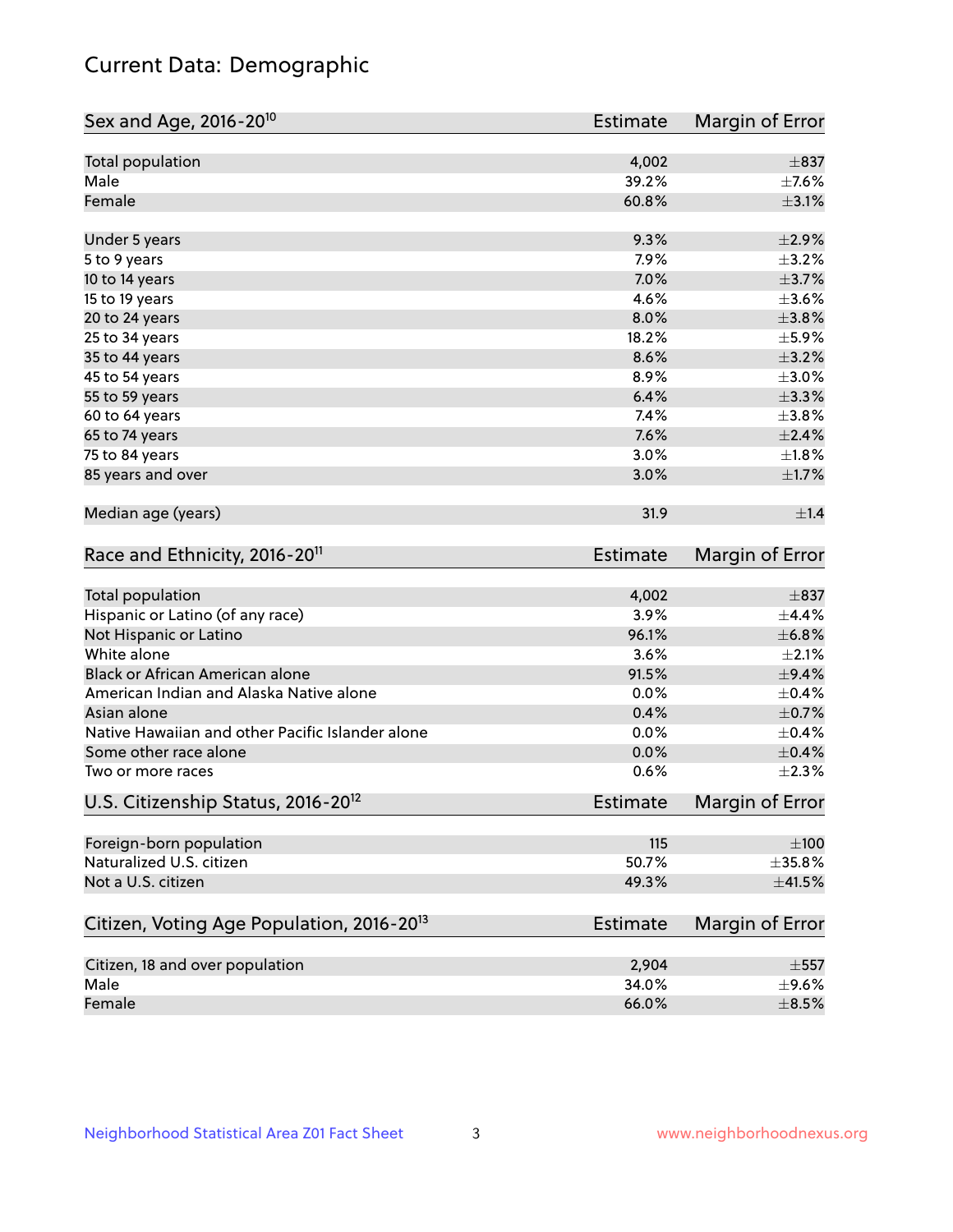## Current Data: Demographic

| Sex and Age, 2016-20 <sup>10</sup>                    | Estimate        | Margin of Error |
|-------------------------------------------------------|-----------------|-----------------|
| Total population                                      | 4,002           | $\pm$ 837       |
| Male                                                  | 39.2%           | $\pm$ 7.6%      |
| Female                                                | 60.8%           | $\pm$ 3.1%      |
| Under 5 years                                         | 9.3%            | $\pm 2.9\%$     |
| 5 to 9 years                                          | 7.9%            | $\pm$ 3.2%      |
| 10 to 14 years                                        | 7.0%            | $\pm$ 3.7%      |
| 15 to 19 years                                        | 4.6%            | $\pm 3.6\%$     |
| 20 to 24 years                                        | 8.0%            | $\pm$ 3.8%      |
| 25 to 34 years                                        | 18.2%           | $\pm$ 5.9%      |
| 35 to 44 years                                        | 8.6%            | $\pm$ 3.2%      |
| 45 to 54 years                                        | 8.9%            | $\pm 3.0\%$     |
| 55 to 59 years                                        | 6.4%            | $\pm$ 3.3%      |
| 60 to 64 years                                        | 7.4%            | $\pm$ 3.8%      |
| 65 to 74 years                                        | 7.6%            | $\pm 2.4\%$     |
| 75 to 84 years                                        | 3.0%            | $\pm1.8\%$      |
| 85 years and over                                     | 3.0%            | $\pm1.7\%$      |
| Median age (years)                                    | 31.9            | $\pm 1.4$       |
| Race and Ethnicity, 2016-20 <sup>11</sup>             | <b>Estimate</b> | Margin of Error |
| Total population                                      | 4,002           | $\pm$ 837       |
| Hispanic or Latino (of any race)                      | 3.9%            | ±4.4%           |
| Not Hispanic or Latino                                | 96.1%           | ±6.8%           |
| White alone                                           | 3.6%            | $\pm 2.1\%$     |
| Black or African American alone                       | 91.5%           | $\pm$ 9.4%      |
| American Indian and Alaska Native alone               | 0.0%            | $\pm$ 0.4%      |
| Asian alone                                           | 0.4%            | $\pm$ 0.7%      |
| Native Hawaiian and other Pacific Islander alone      | 0.0%            | $\pm$ 0.4%      |
| Some other race alone                                 | 0.0%            | $\pm$ 0.4%      |
| Two or more races                                     | 0.6%            | $\pm 2.3\%$     |
| U.S. Citizenship Status, 2016-20 <sup>12</sup>        | <b>Estimate</b> | Margin of Error |
| Foreign-born population                               | 115             | $\pm 100$       |
| Naturalized U.S. citizen                              | 50.7%           | $\pm$ 35.8%     |
| Not a U.S. citizen                                    | 49.3%           | $\pm$ 41.5%     |
| Citizen, Voting Age Population, 2016-20 <sup>13</sup> | <b>Estimate</b> | Margin of Error |
| Citizen, 18 and over population                       | 2,904           | $\pm$ 557       |
| Male                                                  | 34.0%           | $\pm$ 9.6%      |
| Female                                                | 66.0%           | $\pm$ 8.5%      |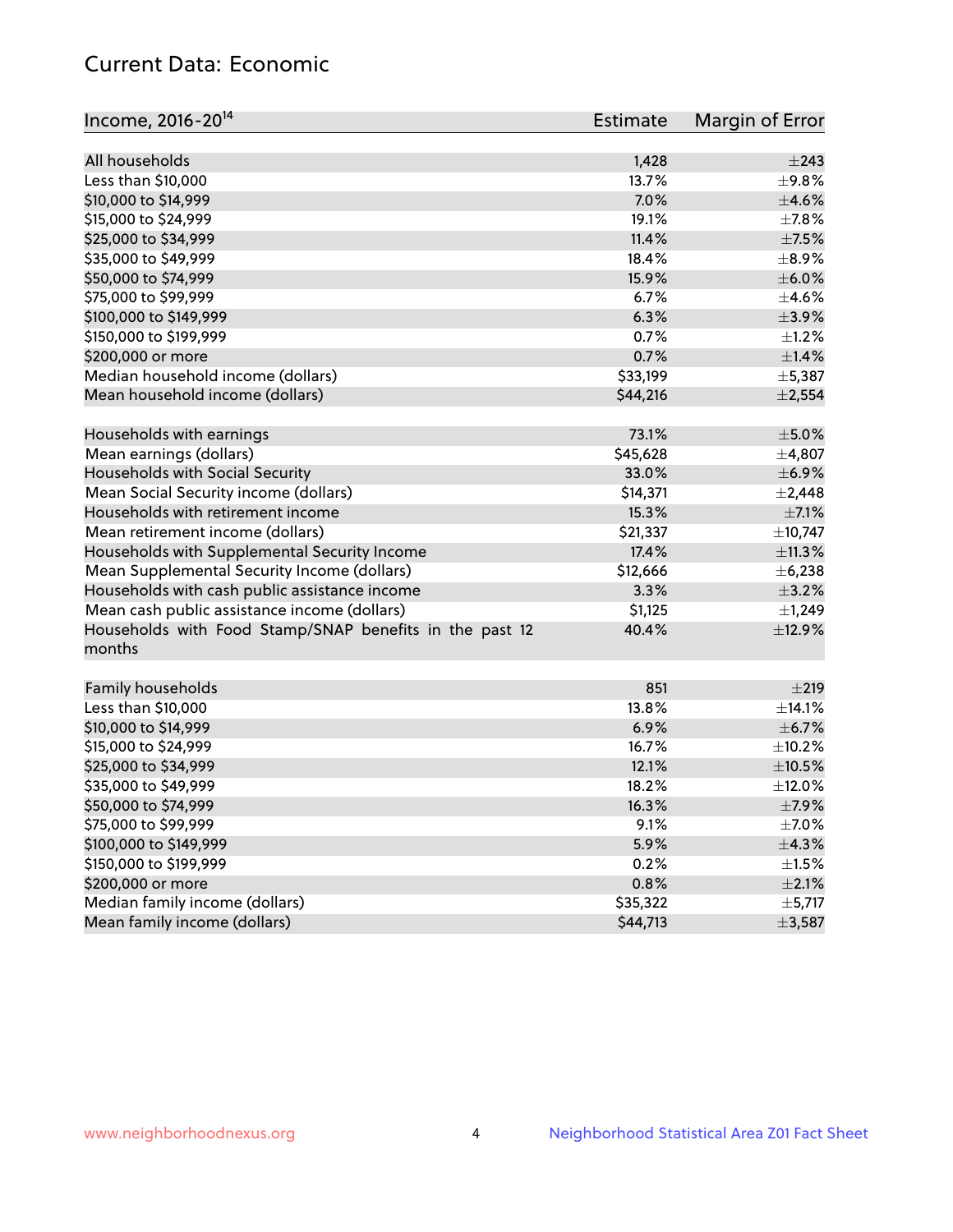## Current Data: Economic

| Income, 2016-20 <sup>14</sup>                           | Estimate | Margin of Error |
|---------------------------------------------------------|----------|-----------------|
|                                                         |          |                 |
| All households                                          | 1,428    | $\pm$ 243       |
| Less than \$10,000                                      | 13.7%    | $\pm$ 9.8%      |
| \$10,000 to \$14,999                                    | 7.0%     | $\pm 4.6\%$     |
| \$15,000 to \$24,999                                    | 19.1%    | $\pm$ 7.8%      |
| \$25,000 to \$34,999                                    | 11.4%    | $\pm$ 7.5%      |
| \$35,000 to \$49,999                                    | 18.4%    | $\pm$ 8.9%      |
| \$50,000 to \$74,999                                    | 15.9%    | $\pm$ 6.0%      |
| \$75,000 to \$99,999                                    | 6.7%     | $\pm 4.6\%$     |
| \$100,000 to \$149,999                                  | 6.3%     | $\pm$ 3.9%      |
| \$150,000 to \$199,999                                  | 0.7%     | $\pm 1.2\%$     |
| \$200,000 or more                                       | 0.7%     | ±1.4%           |
| Median household income (dollars)                       | \$33,199 | ±5,387          |
| Mean household income (dollars)                         | \$44,216 | ±2,554          |
| Households with earnings                                | 73.1%    | $\pm$ 5.0%      |
| Mean earnings (dollars)                                 | \$45,628 | ±4,807          |
| Households with Social Security                         | 33.0%    | $\pm$ 6.9%      |
| Mean Social Security income (dollars)                   | \$14,371 | $\pm 2,448$     |
| Households with retirement income                       | 15.3%    | $\pm$ 7.1%      |
| Mean retirement income (dollars)                        | \$21,337 | ±10,747         |
| Households with Supplemental Security Income            | 17.4%    | ±11.3%          |
| Mean Supplemental Security Income (dollars)             | \$12,666 | ± 6,238         |
| Households with cash public assistance income           | 3.3%     | $\pm$ 3.2%      |
| Mean cash public assistance income (dollars)            | \$1,125  | $\pm$ 1,249     |
| Households with Food Stamp/SNAP benefits in the past 12 | 40.4%    | ±12.9%          |
| months                                                  |          |                 |
|                                                         | 851      |                 |
| Family households                                       | 13.8%    | ±219            |
| Less than \$10,000                                      |          | $\pm$ 14.1%     |
| \$10,000 to \$14,999                                    | 6.9%     | $\pm$ 6.7%      |
| \$15,000 to \$24,999                                    | 16.7%    | $\pm$ 10.2%     |
| \$25,000 to \$34,999                                    | 12.1%    | $\pm$ 10.5%     |
| \$35,000 to \$49,999                                    | 18.2%    | $\pm$ 12.0%     |
| \$50,000 to \$74,999                                    | 16.3%    | $\pm$ 7.9%      |
| \$75,000 to \$99,999                                    | 9.1%     | $\pm$ 7.0%      |
| \$100,000 to \$149,999                                  | 5.9%     | ±4.3%           |
| \$150,000 to \$199,999                                  | 0.2%     | $\pm 1.5\%$     |
| \$200,000 or more                                       | 0.8%     | $\pm 2.1\%$     |
| Median family income (dollars)                          | \$35,322 | ±5,717          |
| Mean family income (dollars)                            | \$44,713 | ±3,587          |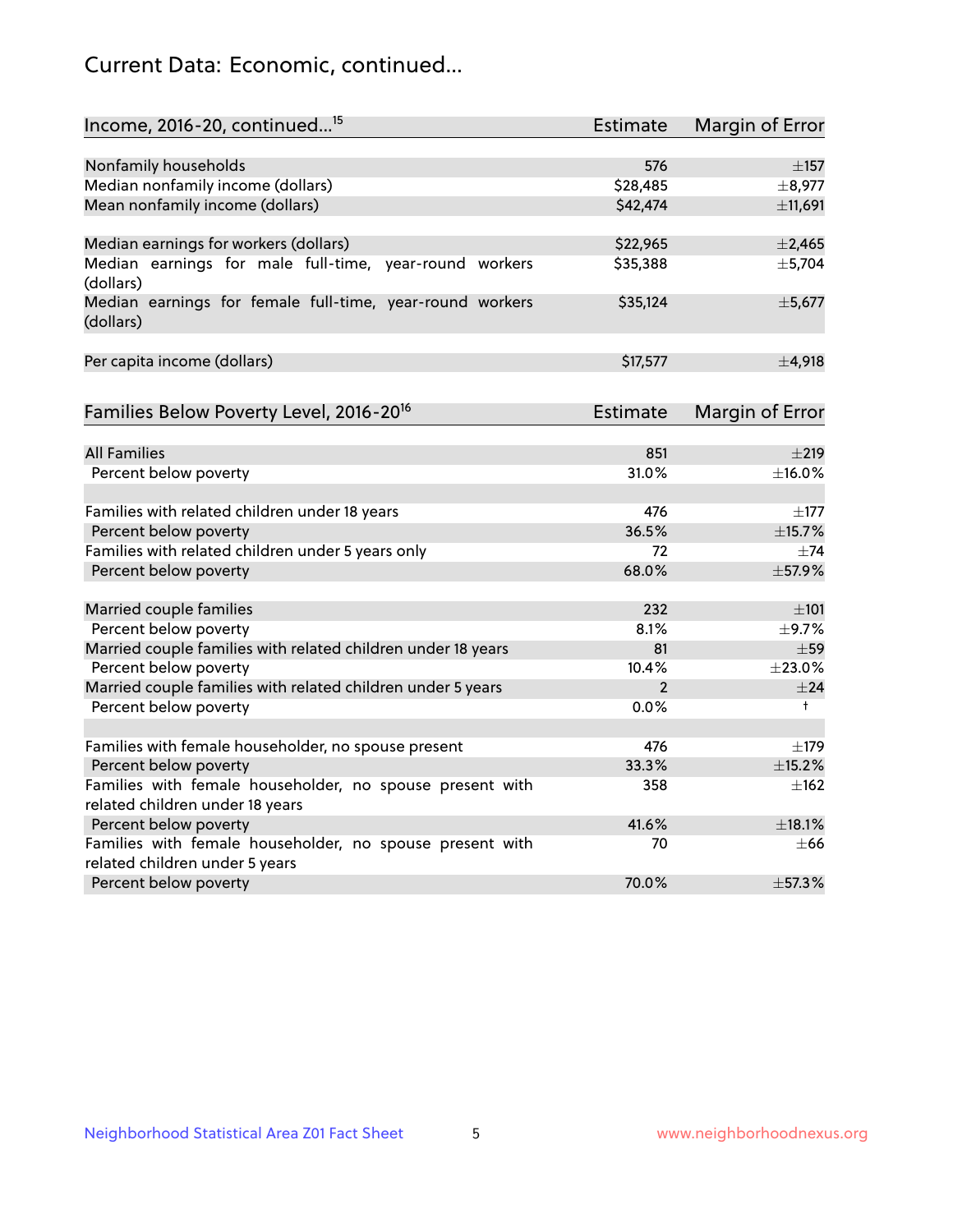## Current Data: Economic, continued...

| Income, 2016-20, continued <sup>15</sup>                              | <b>Estimate</b> | <b>Margin of Error</b> |
|-----------------------------------------------------------------------|-----------------|------------------------|
|                                                                       |                 |                        |
| Nonfamily households                                                  | 576             | $\pm$ 157              |
| Median nonfamily income (dollars)                                     | \$28,485        | ±8,977                 |
| Mean nonfamily income (dollars)                                       | \$42,474        | ±11,691                |
| Median earnings for workers (dollars)                                 | \$22,965        | $\pm$ 2,465            |
| Median earnings for male full-time, year-round workers<br>(dollars)   | \$35,388        | ±5,704                 |
| Median earnings for female full-time, year-round workers<br>(dollars) | \$35,124        | ±5,677                 |
| Per capita income (dollars)                                           | \$17,577        | ±4,918                 |
| Families Below Poverty Level, 2016-20 <sup>16</sup>                   | Estimate        | <b>Margin of Error</b> |
|                                                                       |                 |                        |
| <b>All Families</b>                                                   | 851             | $\pm 219$              |
| Percent below poverty                                                 | 31.0%           | ±16.0%                 |
| Families with related children under 18 years                         | 476             | $\pm$ 177              |
| Percent below poverty                                                 | 36.5%           | ±15.7%                 |
| Families with related children under 5 years only                     | 72              | $\pm$ 74               |
| Percent below poverty                                                 | 68.0%           | ±57.9%                 |
| Married couple families                                               | 232             | ±101                   |
| Percent below poverty                                                 | 8.1%            | ±9.7%                  |
| Married couple families with related children under 18 years          | 81              | $\pm$ 59               |
| Percent below poverty                                                 | 10.4%           | ±23.0%                 |
| Married couple families with related children under 5 years           | $\overline{2}$  | ±24                    |
| Percent below poverty                                                 | $0.0\%$         | $^+$                   |
| Families with female householder, no spouse present                   | 476             | $\pm$ 179              |
| Percent below poverty                                                 | 33.3%           | ±15.2%                 |
| Families with female householder, no spouse present with              | 358             | $\pm$ 162              |
| related children under 18 years                                       |                 |                        |
| Percent below poverty                                                 | 41.6%           | ±18.1%                 |
| Families with female householder, no spouse present with              | 70              | $\pm 66$               |
| related children under 5 years                                        |                 |                        |
| Percent below poverty                                                 | 70.0%           | ±57.3%                 |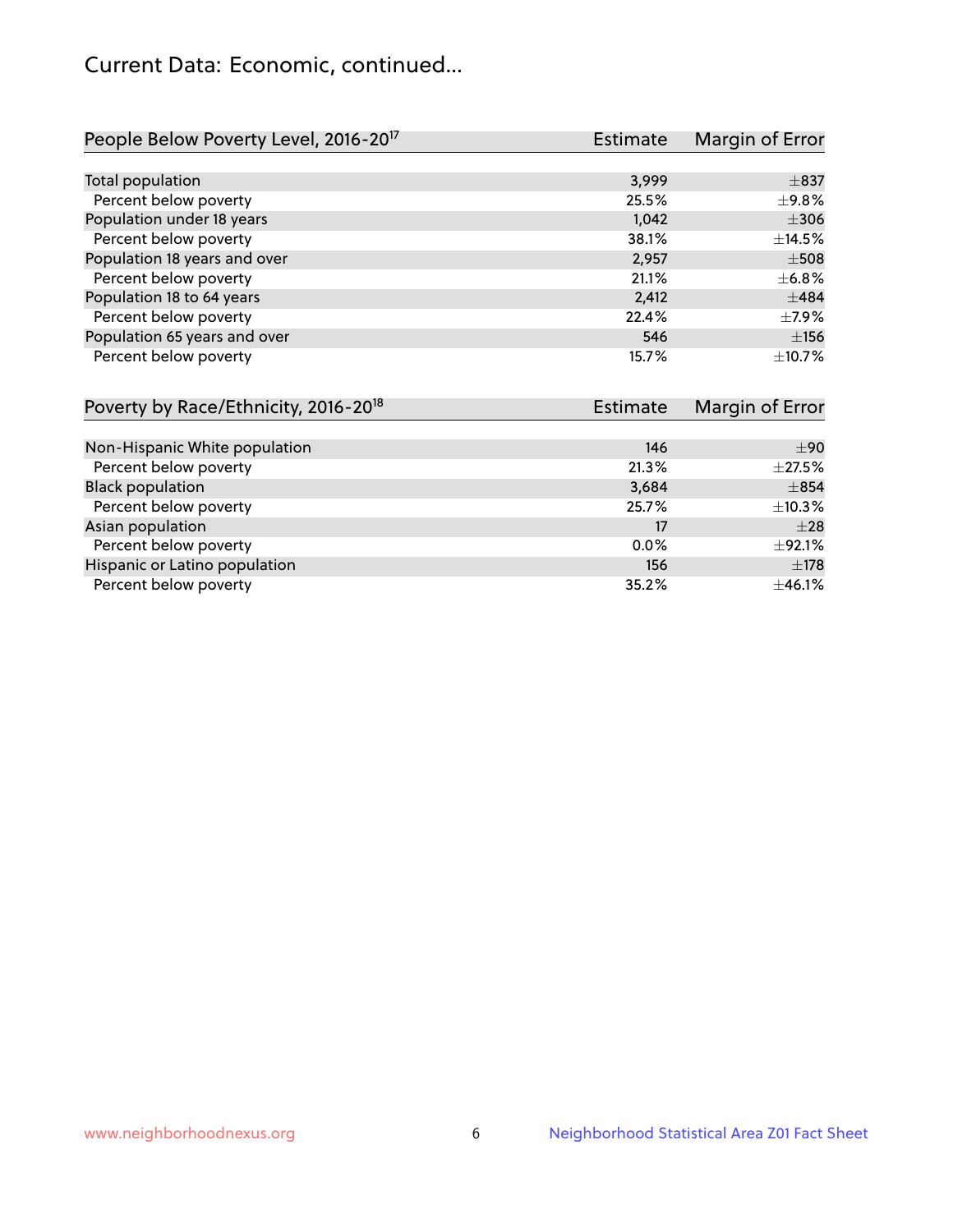## Current Data: Economic, continued...

| People Below Poverty Level, 2016-20 <sup>17</sup> | <b>Estimate</b> | Margin of Error |
|---------------------------------------------------|-----------------|-----------------|
|                                                   |                 |                 |
| Total population                                  | 3,999           | $\pm$ 837       |
| Percent below poverty                             | 25.5%           | $\pm$ 9.8%      |
| Population under 18 years                         | 1,042           | $\pm$ 306       |
| Percent below poverty                             | 38.1%           | ±14.5%          |
| Population 18 years and over                      | 2,957           | $\pm$ 508       |
| Percent below poverty                             | 21.1%           | $\pm$ 6.8%      |
| Population 18 to 64 years                         | 2,412           | $+484$          |
| Percent below poverty                             | 22.4%           | $\pm$ 7.9%      |
| Population 65 years and over                      | 546             | ±156            |
| Percent below poverty                             | 15.7%           | ±10.7%          |

| Poverty by Race/Ethnicity, 2016-20 <sup>18</sup> | <b>Estimate</b> |              |
|--------------------------------------------------|-----------------|--------------|
|                                                  |                 |              |
| Non-Hispanic White population                    | 146             | ±90          |
| Percent below poverty                            | 21.3%           | $\pm 27.5\%$ |
| <b>Black population</b>                          | 3,684           | $\pm$ 854    |
| Percent below poverty                            | 25.7%           | $\pm$ 10.3%  |
| Asian population                                 | 17              | $\pm 28$     |
| Percent below poverty                            | 0.0%            | $\pm$ 92.1%  |
| Hispanic or Latino population                    | 156             | $\pm$ 178    |
| Percent below poverty                            | 35.2%           | ±46.1%       |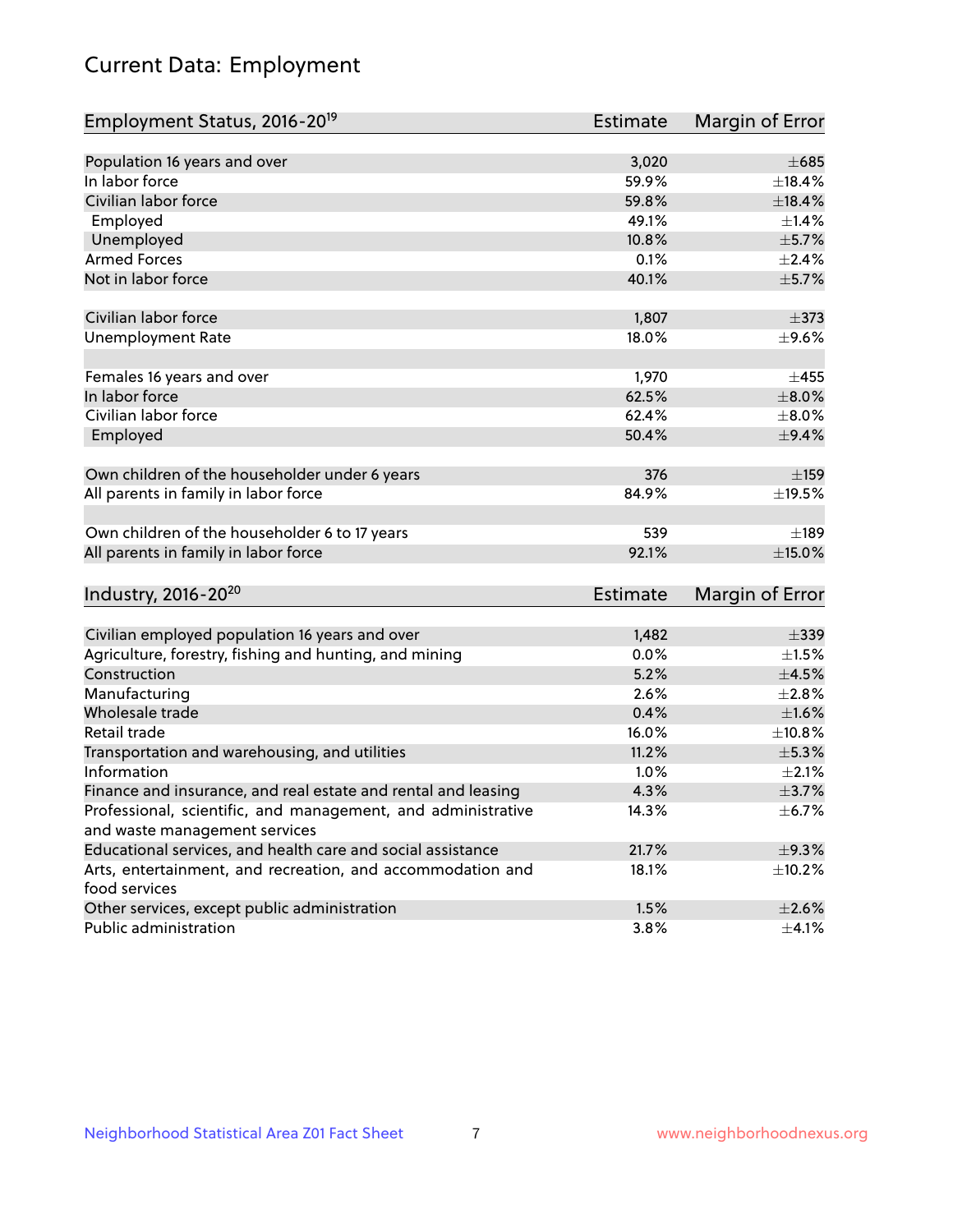# Current Data: Employment

| Employment Status, 2016-20 <sup>19</sup>                      | <b>Estimate</b> | Margin of Error |
|---------------------------------------------------------------|-----------------|-----------------|
|                                                               |                 |                 |
| Population 16 years and over                                  | 3,020           | $\pm 685$       |
| In labor force                                                | 59.9%           | ±18.4%          |
| Civilian labor force                                          | 59.8%           | $\pm$ 18.4%     |
| Employed                                                      | 49.1%           | $\pm1.4\%$      |
| Unemployed                                                    | 10.8%           | $\pm$ 5.7%      |
| <b>Armed Forces</b>                                           | 0.1%            | $\pm 2.4\%$     |
| Not in labor force                                            | 40.1%           | $\pm$ 5.7%      |
| Civilian labor force                                          | 1,807           | $\pm$ 373       |
| <b>Unemployment Rate</b>                                      | 18.0%           | $\pm$ 9.6%      |
| Females 16 years and over                                     | 1,970           | $\pm 455$       |
| In labor force                                                | 62.5%           | $\pm 8.0\%$     |
| Civilian labor force                                          | 62.4%           | $\pm 8.0\%$     |
| Employed                                                      | 50.4%           | $\pm$ 9.4%      |
|                                                               |                 |                 |
| Own children of the householder under 6 years                 | 376             | ±159            |
| All parents in family in labor force                          | 84.9%           | ±19.5%          |
|                                                               |                 |                 |
| Own children of the householder 6 to 17 years                 | 539             | $\pm$ 189       |
| All parents in family in labor force                          | 92.1%           | ±15.0%          |
|                                                               |                 |                 |
| Industry, 2016-20 <sup>20</sup>                               | <b>Estimate</b> | Margin of Error |
|                                                               |                 |                 |
| Civilian employed population 16 years and over                | 1,482           | $\pm$ 339       |
| Agriculture, forestry, fishing and hunting, and mining        | 0.0%            | $\pm 1.5\%$     |
| Construction                                                  | 5.2%            | $\pm 4.5\%$     |
| Manufacturing                                                 | 2.6%            | $\pm 2.8\%$     |
| Wholesale trade                                               | 0.4%            | $\pm1.6\%$      |
| Retail trade                                                  | 16.0%           | $\pm$ 10.8%     |
| Transportation and warehousing, and utilities                 | 11.2%           | $\pm$ 5.3%      |
| Information                                                   | 1.0%            | $\pm 2.1\%$     |
| Finance and insurance, and real estate and rental and leasing | 4.3%            | $\pm$ 3.7%      |
| Professional, scientific, and management, and administrative  | 14.3%           | $\pm$ 6.7%      |
| and waste management services                                 |                 |                 |
| Educational services, and health care and social assistance   | 21.7%           | ±9.3%           |
| Arts, entertainment, and recreation, and accommodation and    | 18.1%           | ±10.2%          |
| food services                                                 |                 |                 |
| Other services, except public administration                  | 1.5%            | $\pm 2.6\%$     |
| Public administration                                         | 3.8%            | $\pm$ 4.1%      |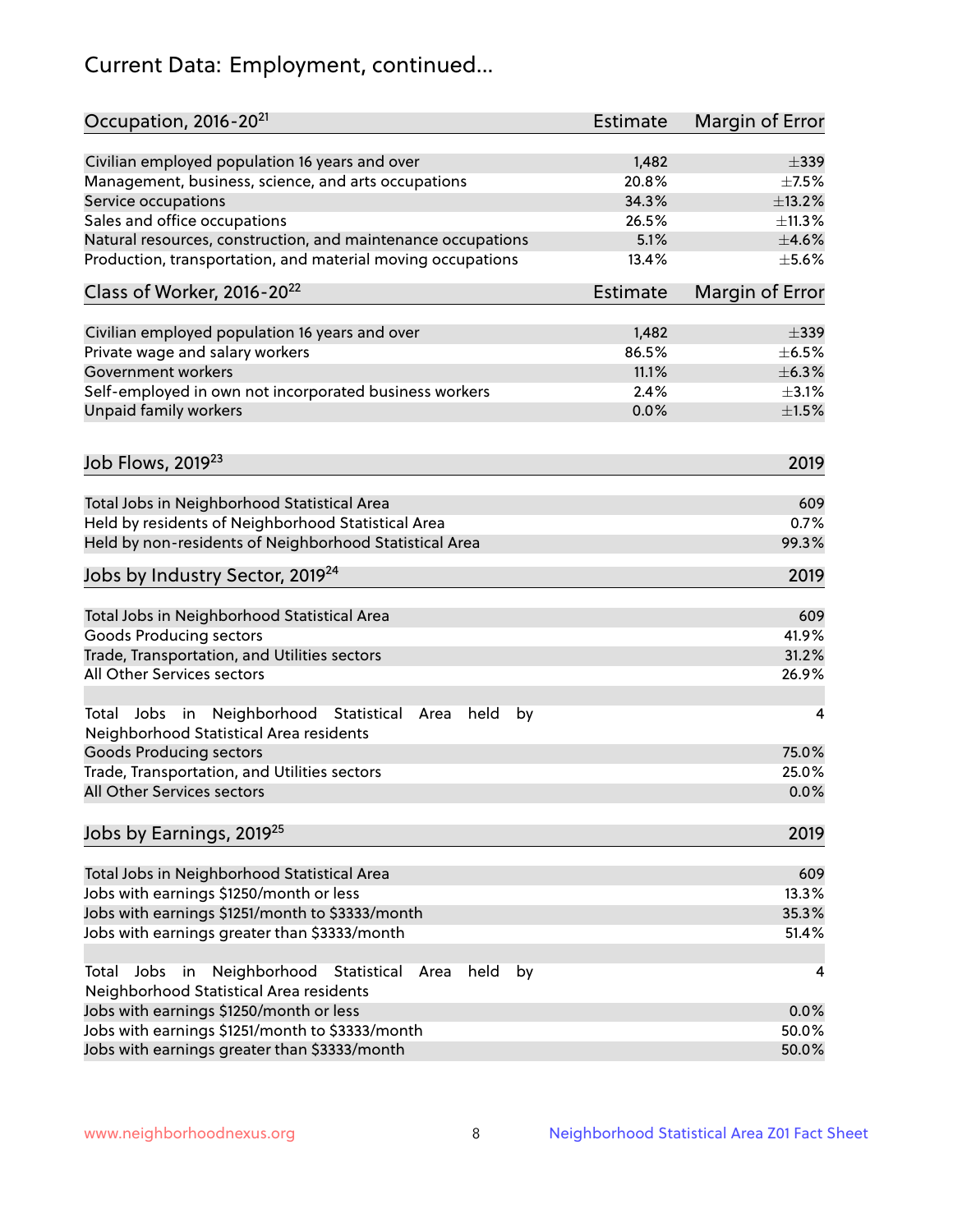# Current Data: Employment, continued...

| Occupation, 2016-20 <sup>21</sup>                                                                       | <b>Estimate</b> | Margin of Error |
|---------------------------------------------------------------------------------------------------------|-----------------|-----------------|
| Civilian employed population 16 years and over                                                          | 1,482           | $\pm$ 339       |
| Management, business, science, and arts occupations                                                     | 20.8%           | $\pm$ 7.5%      |
| Service occupations                                                                                     | 34.3%           | ±13.2%          |
| Sales and office occupations                                                                            | 26.5%           | ±11.3%          |
| Natural resources, construction, and maintenance occupations                                            | 5.1%            | $\pm 4.6\%$     |
| Production, transportation, and material moving occupations                                             | 13.4%           | $\pm$ 5.6%      |
| Class of Worker, 2016-20 <sup>22</sup>                                                                  | <b>Estimate</b> | Margin of Error |
| Civilian employed population 16 years and over                                                          | 1,482           | $\pm$ 339       |
| Private wage and salary workers                                                                         | 86.5%           | $\pm$ 6.5%      |
| Government workers                                                                                      | 11.1%           | ±6.3%           |
| Self-employed in own not incorporated business workers                                                  | 2.4%            | $\pm$ 3.1%      |
| Unpaid family workers                                                                                   | 0.0%            | $\pm 1.5\%$     |
| Job Flows, 2019 <sup>23</sup>                                                                           |                 | 2019            |
|                                                                                                         |                 |                 |
| Total Jobs in Neighborhood Statistical Area                                                             |                 | 609             |
| Held by residents of Neighborhood Statistical Area                                                      |                 | 0.7%            |
| Held by non-residents of Neighborhood Statistical Area                                                  |                 | 99.3%           |
| Jobs by Industry Sector, 2019 <sup>24</sup>                                                             |                 | 2019            |
| Total Jobs in Neighborhood Statistical Area                                                             |                 | 609             |
| <b>Goods Producing sectors</b>                                                                          |                 | 41.9%           |
| Trade, Transportation, and Utilities sectors                                                            |                 | 31.2%           |
| All Other Services sectors                                                                              |                 | 26.9%           |
| Total Jobs in Neighborhood Statistical<br>held<br>by<br>Area<br>Neighborhood Statistical Area residents |                 | 4               |
| <b>Goods Producing sectors</b>                                                                          |                 | 75.0%           |
| Trade, Transportation, and Utilities sectors                                                            |                 | 25.0%           |
| All Other Services sectors                                                                              |                 | 0.0%            |
| Jobs by Earnings, 2019 <sup>25</sup>                                                                    |                 | 2019            |
| Total Jobs in Neighborhood Statistical Area                                                             |                 | 609             |
| Jobs with earnings \$1250/month or less                                                                 |                 | 13.3%           |
| Jobs with earnings \$1251/month to \$3333/month                                                         |                 | 35.3%           |
| Jobs with earnings greater than \$3333/month                                                            |                 | 51.4%           |
| Neighborhood Statistical<br>Jobs<br>in<br>held<br>by<br>Total<br>Area                                   |                 | 4               |
| Neighborhood Statistical Area residents                                                                 |                 |                 |
| Jobs with earnings \$1250/month or less                                                                 |                 | 0.0%            |
| Jobs with earnings \$1251/month to \$3333/month                                                         |                 | 50.0%           |
| Jobs with earnings greater than \$3333/month                                                            |                 | 50.0%           |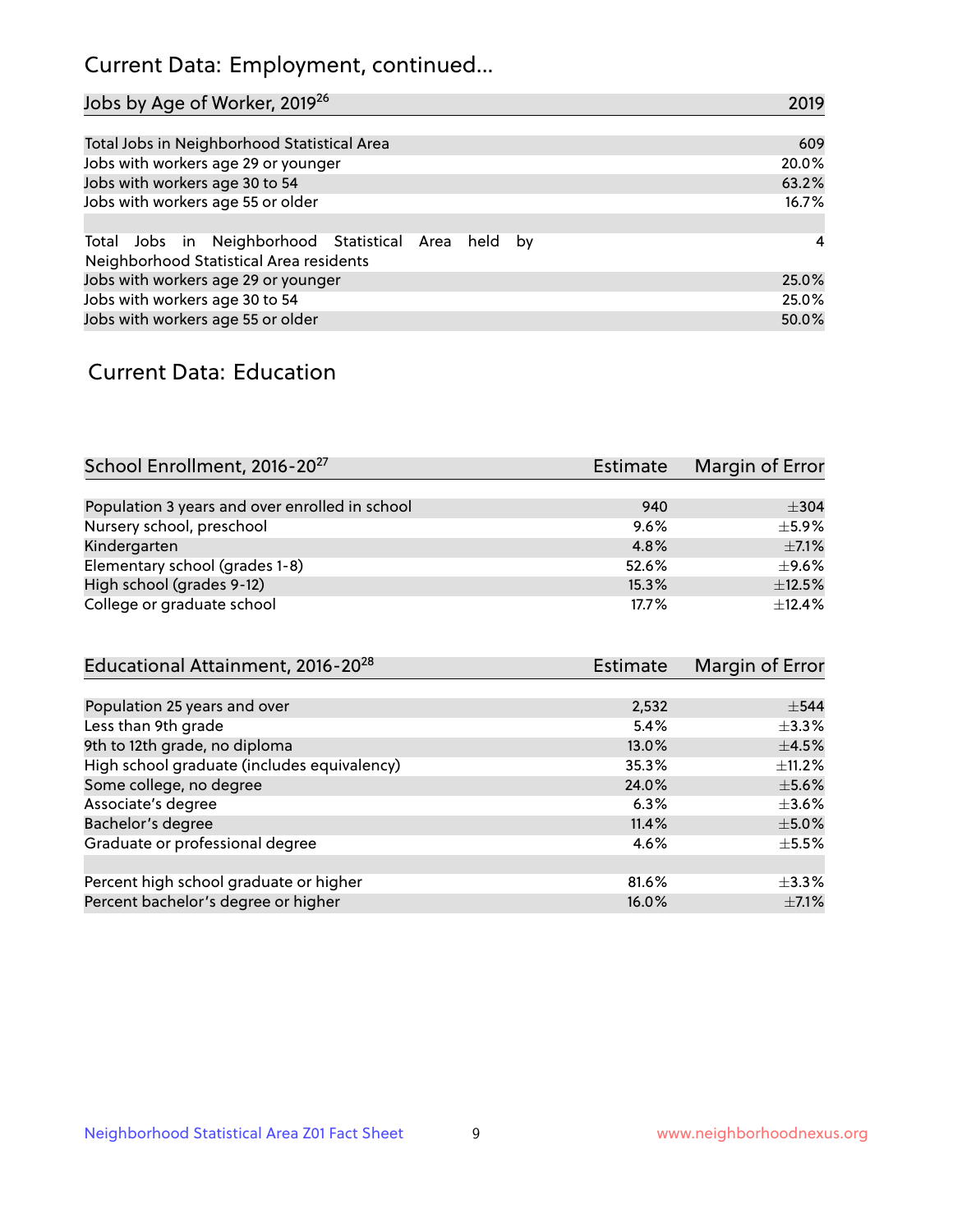## Current Data: Employment, continued...

| Jobs by Age of Worker, 2019 <sup>26</sup>                                                      | 2019  |
|------------------------------------------------------------------------------------------------|-------|
|                                                                                                |       |
| Total Jobs in Neighborhood Statistical Area                                                    | 609   |
| Jobs with workers age 29 or younger                                                            | 20.0% |
| Jobs with workers age 30 to 54                                                                 | 63.2% |
| Jobs with workers age 55 or older                                                              | 16.7% |
|                                                                                                |       |
| Total Jobs in Neighborhood Statistical Area held by<br>Neighborhood Statistical Area residents | 4     |
| Jobs with workers age 29 or younger                                                            | 25.0% |
| Jobs with workers age 30 to 54                                                                 | 25.0% |
| Jobs with workers age 55 or older                                                              | 50.0% |

### Current Data: Education

| School Enrollment, 2016-20 <sup>27</sup>       | <b>Estimate</b> | Margin of Error |
|------------------------------------------------|-----------------|-----------------|
|                                                |                 |                 |
| Population 3 years and over enrolled in school | 940             | $\pm$ 304       |
| Nursery school, preschool                      | 9.6%            | $+5.9%$         |
| Kindergarten                                   | 4.8%            | $\pm$ 7.1%      |
| Elementary school (grades 1-8)                 | 52.6%           | $\pm$ 9.6%      |
| High school (grades 9-12)                      | 15.3%           | $\pm$ 12.5%     |
| College or graduate school                     | 17.7%           | ±12.4%          |

| Educational Attainment, 2016-20 <sup>28</sup> | <b>Estimate</b> | Margin of Error |
|-----------------------------------------------|-----------------|-----------------|
|                                               |                 |                 |
| Population 25 years and over                  | 2,532           | $\pm$ 544       |
| Less than 9th grade                           | 5.4%            | $\pm$ 3.3%      |
| 9th to 12th grade, no diploma                 | 13.0%           | $\pm$ 4.5%      |
| High school graduate (includes equivalency)   | 35.3%           | $+11.2%$        |
| Some college, no degree                       | 24.0%           | $\pm$ 5.6%      |
| Associate's degree                            | 6.3%            | $\pm 3.6\%$     |
| Bachelor's degree                             | 11.4%           | $\pm$ 5.0%      |
| Graduate or professional degree               | 4.6%            | $\pm$ 5.5%      |
|                                               |                 |                 |
| Percent high school graduate or higher        | 81.6%           | $\pm$ 3.3%      |
| Percent bachelor's degree or higher           | 16.0%           | $\pm$ 7.1%      |
|                                               |                 |                 |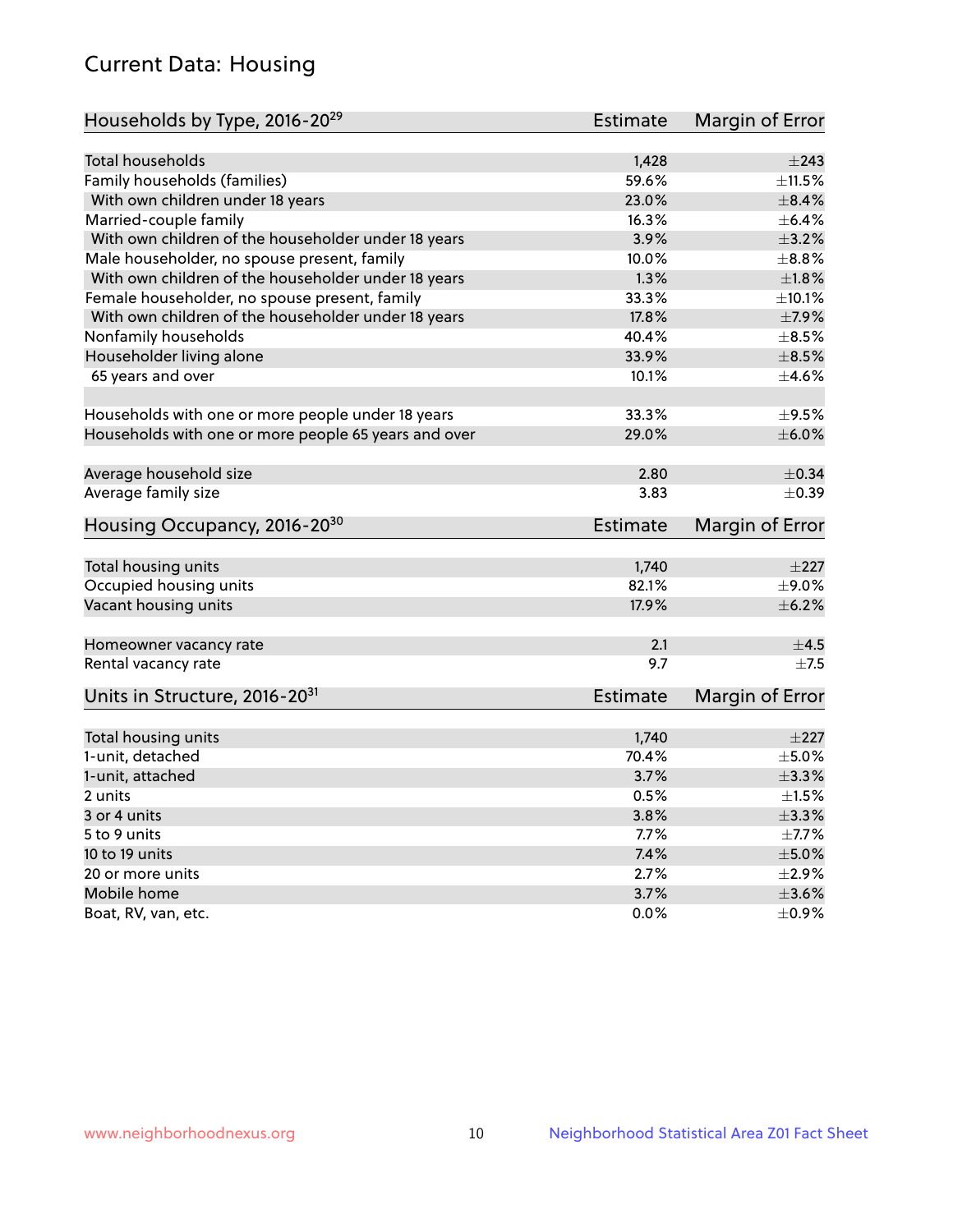## Current Data: Housing

| Households by Type, 2016-20 <sup>29</sup>            | Estimate        | Margin of Error |
|------------------------------------------------------|-----------------|-----------------|
|                                                      |                 |                 |
| <b>Total households</b>                              | 1,428           | $\pm 243$       |
| Family households (families)                         | 59.6%           | $\pm$ 11.5%     |
| With own children under 18 years                     | 23.0%           | $\pm$ 8.4%      |
| Married-couple family                                | 16.3%           | $\pm$ 6.4%      |
| With own children of the householder under 18 years  | 3.9%            | $\pm$ 3.2%      |
| Male householder, no spouse present, family          | 10.0%           | $\pm$ 8.8%      |
| With own children of the householder under 18 years  | 1.3%            | $\pm$ 1.8%      |
| Female householder, no spouse present, family        | 33.3%           | $\pm$ 10.1%     |
| With own children of the householder under 18 years  | 17.8%           | $\pm$ 7.9%      |
| Nonfamily households                                 | 40.4%           | $\pm$ 8.5%      |
| Householder living alone                             | 33.9%           | $\pm$ 8.5%      |
| 65 years and over                                    | 10.1%           | $\pm$ 4.6%      |
|                                                      |                 |                 |
| Households with one or more people under 18 years    | 33.3%           | $\pm$ 9.5%      |
| Households with one or more people 65 years and over | 29.0%           | $\pm$ 6.0%      |
|                                                      |                 |                 |
| Average household size                               | 2.80            | $\pm$ 0.34      |
| Average family size                                  | 3.83            | $\pm$ 0.39      |
| Housing Occupancy, 2016-20 <sup>30</sup>             | <b>Estimate</b> | Margin of Error |
|                                                      |                 |                 |
| Total housing units                                  | 1,740           | $\pm 227$       |
| Occupied housing units                               | 82.1%           | $\pm$ 9.0%      |
| Vacant housing units                                 | 17.9%           | $\pm$ 6.2%      |
| Homeowner vacancy rate                               | 2.1             | $\pm$ 4.5       |
| Rental vacancy rate                                  | 9.7             | $\pm$ 7.5       |
| Units in Structure, 2016-20 <sup>31</sup>            | <b>Estimate</b> | Margin of Error |
|                                                      |                 |                 |
| Total housing units                                  | 1,740           | $\pm 227$       |
| 1-unit, detached                                     | 70.4%           | $\pm$ 5.0%      |
| 1-unit, attached                                     | 3.7%            | ±3.3%           |
| 2 units                                              | 0.5%            | $\pm1.5\%$      |
| 3 or 4 units                                         | 3.8%            | ±3.3%           |
| 5 to 9 units                                         | 7.7%            | $\pm$ 7.7%      |
| 10 to 19 units                                       | 7.4%            | $\pm$ 5.0%      |
| 20 or more units                                     | 2.7%            | $\pm 2.9\%$     |
| Mobile home                                          | 3.7%            | $\pm 3.6\%$     |
| Boat, RV, van, etc.                                  | 0.0%            | $\pm$ 0.9%      |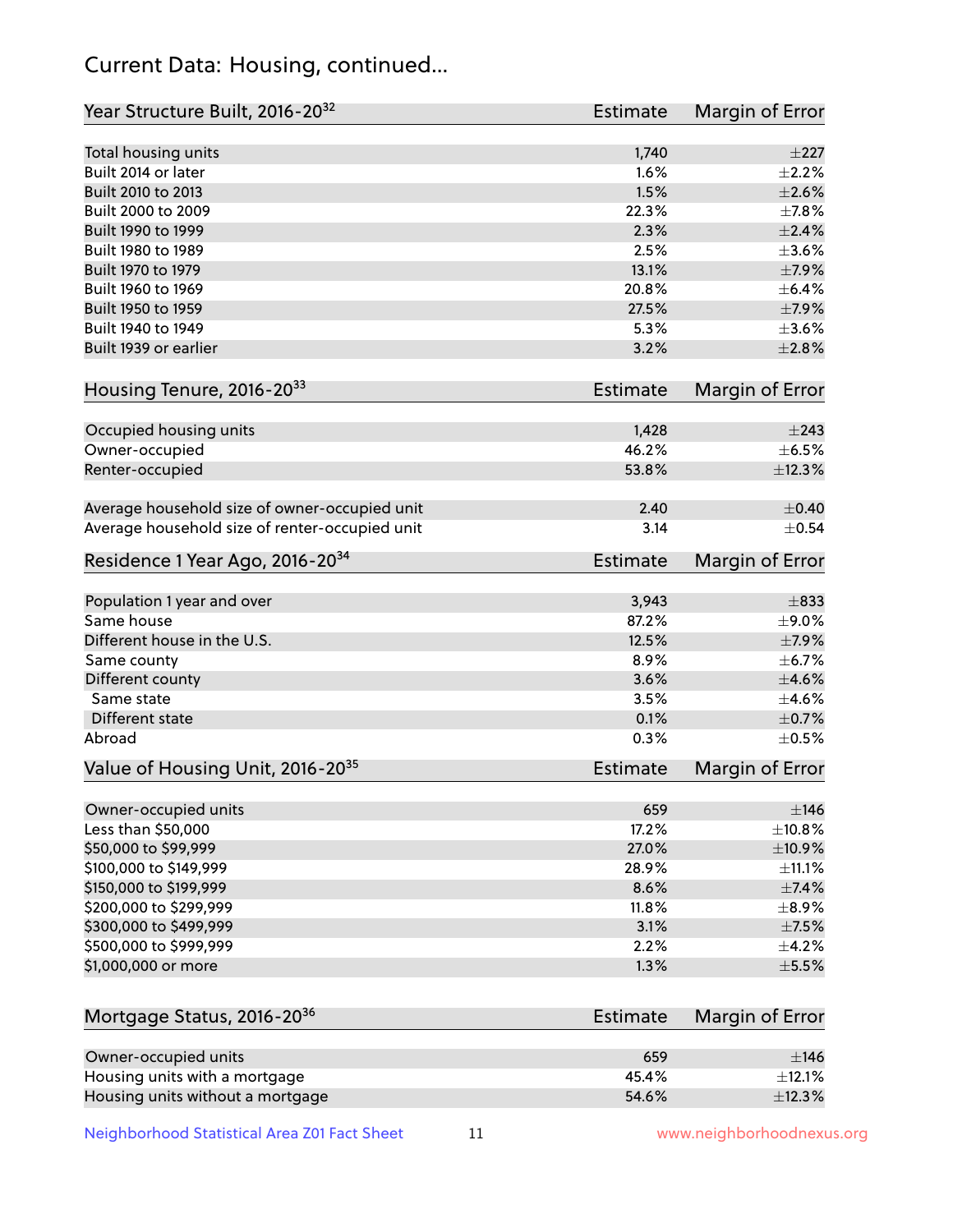## Current Data: Housing, continued...

| Year Structure Built, 2016-20 <sup>32</sup>    | <b>Estimate</b> | Margin of Error          |
|------------------------------------------------|-----------------|--------------------------|
| Total housing units                            | 1,740           | $\pm 227$                |
| Built 2014 or later                            | 1.6%            | $\pm 2.2\%$              |
| Built 2010 to 2013                             | 1.5%            | $\pm 2.6\%$              |
| Built 2000 to 2009                             | 22.3%           | ±7.8%                    |
| Built 1990 to 1999                             | 2.3%            | $\pm 2.4\%$              |
| Built 1980 to 1989                             | 2.5%            | $\pm 3.6\%$              |
| Built 1970 to 1979                             | 13.1%           | $\pm$ 7.9%               |
| Built 1960 to 1969                             | 20.8%           | $\pm$ 6.4%               |
| Built 1950 to 1959                             | 27.5%           | $\pm$ 7.9%               |
| Built 1940 to 1949                             | 5.3%            | $\pm 3.6\%$              |
| Built 1939 or earlier                          | 3.2%            | $\pm 2.8\%$              |
| Housing Tenure, 2016-2033                      | <b>Estimate</b> | Margin of Error          |
|                                                | 1,428           | $\pm 243$                |
| Occupied housing units<br>Owner-occupied       | 46.2%           | $\pm$ 6.5%               |
|                                                | 53.8%           | ±12.3%                   |
| Renter-occupied                                |                 |                          |
| Average household size of owner-occupied unit  | 2.40            | $\pm$ 0.40               |
| Average household size of renter-occupied unit | 3.14            | $\pm$ 0.54               |
| Residence 1 Year Ago, 2016-20 <sup>34</sup>    | <b>Estimate</b> | Margin of Error          |
| Population 1 year and over                     | 3,943           | $\pm$ 833                |
| Same house                                     | 87.2%           | ±9.0%                    |
| Different house in the U.S.                    | 12.5%           | $\pm$ 7.9%               |
| Same county                                    | 8.9%            | ±6.7%                    |
| Different county                               | 3.6%            | $\pm$ 4.6%               |
| Same state                                     | 3.5%            | $\pm 4.6\%$              |
| Different state                                | 0.1%            | $\pm$ 0.7%               |
| Abroad                                         | 0.3%            | $\pm$ 0.5%               |
| Value of Housing Unit, 2016-20 <sup>35</sup>   | <b>Estimate</b> | Margin of Error          |
|                                                | 659             | ±146                     |
| Owner-occupied units                           | 17.2%           |                          |
| Less than \$50,000                             | 27.0%           | ±10.8%                   |
| \$50,000 to \$99,999<br>\$100,000 to \$149,999 | 28.9%           | $\pm$ 10.9%              |
| \$150,000 to \$199,999                         |                 | $\pm$ 11.1%              |
| \$200,000 to \$299,999                         | 8.6%<br>11.8%   | $\pm$ 7.4%<br>$\pm$ 8.9% |
| \$300,000 to \$499,999                         | 3.1%            |                          |
|                                                |                 | $\pm$ 7.5%               |
| \$500,000 to \$999,999<br>\$1,000,000 or more  | 2.2%<br>1.3%    | $\pm$ 4.2%<br>$\pm$ 5.5% |
|                                                |                 |                          |
| Mortgage Status, 2016-20 <sup>36</sup>         | <b>Estimate</b> | Margin of Error          |
| Owner-occupied units                           | 659             | $\pm$ 146                |
| Housing units with a mortgage                  | 45.4%           | $\pm$ 12.1%              |
| Housing units without a mortgage               | 54.6%           | ±12.3%                   |

Neighborhood Statistical Area Z01 Fact Sheet 11 11 www.neighborhoodnexus.org

Housing units without a mortgage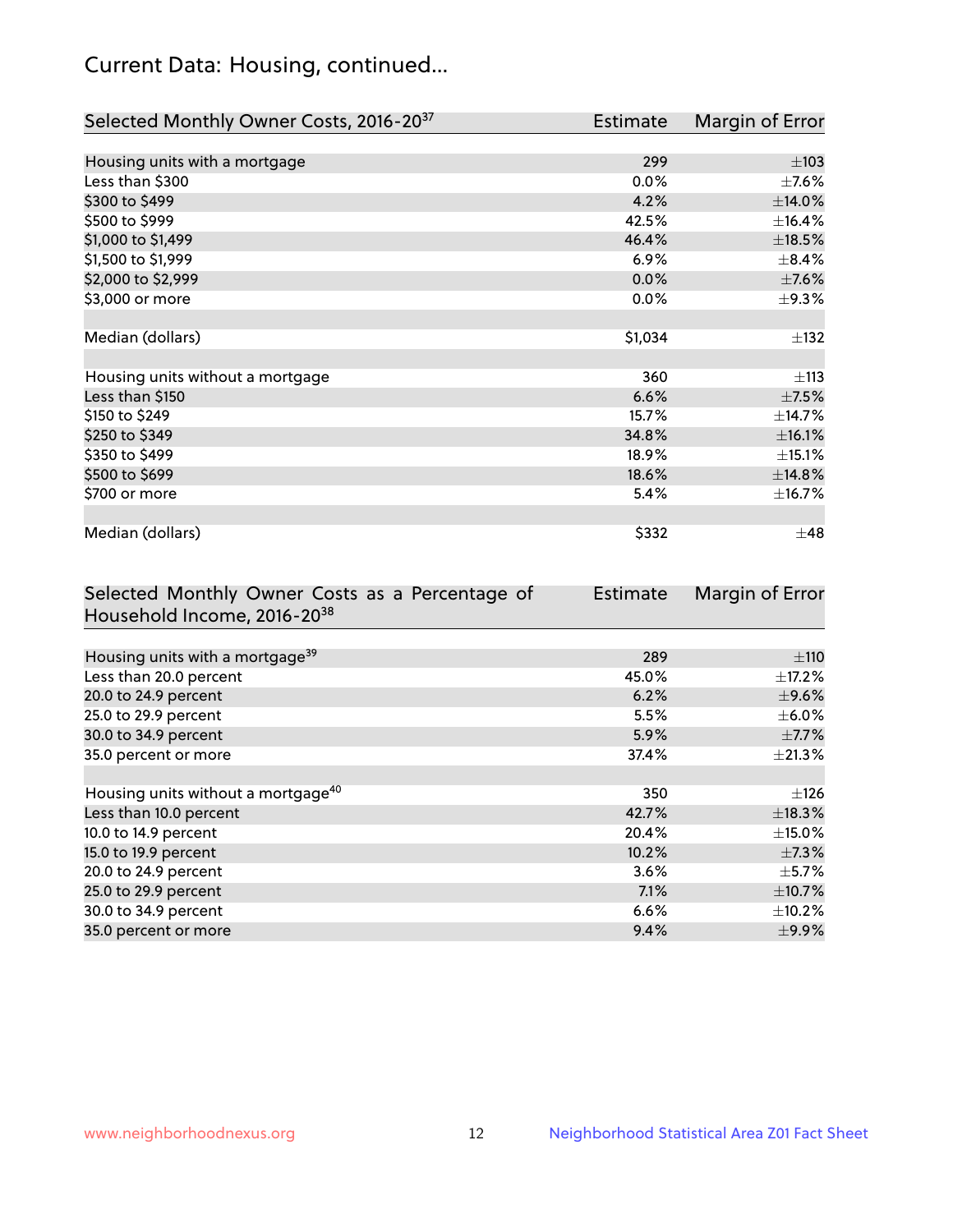## Current Data: Housing, continued...

| Selected Monthly Owner Costs, 2016-20 <sup>37</sup> | <b>Estimate</b> | Margin of Error |
|-----------------------------------------------------|-----------------|-----------------|
|                                                     |                 |                 |
| Housing units with a mortgage                       | 299             | $\pm 103$       |
| Less than \$300                                     | 0.0%            | $\pm$ 7.6%      |
| \$300 to \$499                                      | 4.2%            | $\pm$ 14.0%     |
| \$500 to \$999                                      | 42.5%           | ±16.4%          |
| \$1,000 to \$1,499                                  | 46.4%           | $\pm$ 18.5%     |
| \$1,500 to \$1,999                                  | 6.9%            | $\pm$ 8.4%      |
| \$2,000 to \$2,999                                  | 0.0%            | $\pm$ 7.6%      |
| \$3,000 or more                                     | 0.0%            | $\pm$ 9.3%      |
|                                                     |                 |                 |
| Median (dollars)                                    | \$1,034         | $\pm$ 132       |
|                                                     |                 |                 |
| Housing units without a mortgage                    | 360             | ±113            |
| Less than \$150                                     | 6.6%            | $\pm$ 7.5%      |
| \$150 to \$249                                      | 15.7%           | ±14.7%          |
| \$250 to \$349                                      | 34.8%           | ±16.1%          |
| \$350 to \$499                                      | 18.9%           | ±15.1%          |
| \$500 to \$699                                      | 18.6%           | ±14.8%          |
| \$700 or more                                       | 5.4%            | ±16.7%          |
|                                                     |                 |                 |
| Median (dollars)                                    | \$332           | $\pm 48$        |

| Selected Monthly Owner Costs as a Percentage of | <b>Estimate</b> | Margin of Error |
|-------------------------------------------------|-----------------|-----------------|
| Household Income, 2016-20 <sup>38</sup>         |                 |                 |
|                                                 |                 |                 |
| Housing units with a mortgage <sup>39</sup>     | 289             | $\pm$ 110       |
| Less than 20.0 percent                          | 45.0%           | $\pm$ 17.2%     |
| 20.0 to 24.9 percent                            | 6.2%            | $\pm$ 9.6%      |
| 25.0 to 29.9 percent                            | 5.5%            | $\pm$ 6.0%      |
| 30.0 to 34.9 percent                            | 5.9%            | $\pm$ 7.7%      |
| 35.0 percent or more                            | 37.4%           | $\pm 21.3\%$    |
|                                                 |                 |                 |
| Housing units without a mortgage <sup>40</sup>  | 350             | $\pm$ 126       |
| Less than 10.0 percent                          | 42.7%           | ±18.3%          |
| 10.0 to 14.9 percent                            | 20.4%           | $\pm$ 15.0%     |
| 15.0 to 19.9 percent                            | 10.2%           | $\pm$ 7.3%      |
| 20.0 to 24.9 percent                            | 3.6%            | $\pm$ 5.7%      |
| 25.0 to 29.9 percent                            | 7.1%            | $\pm$ 10.7%     |
| 30.0 to 34.9 percent                            | 6.6%            | $\pm$ 10.2%     |
| 35.0 percent or more                            | 9.4%            | $\pm$ 9.9%      |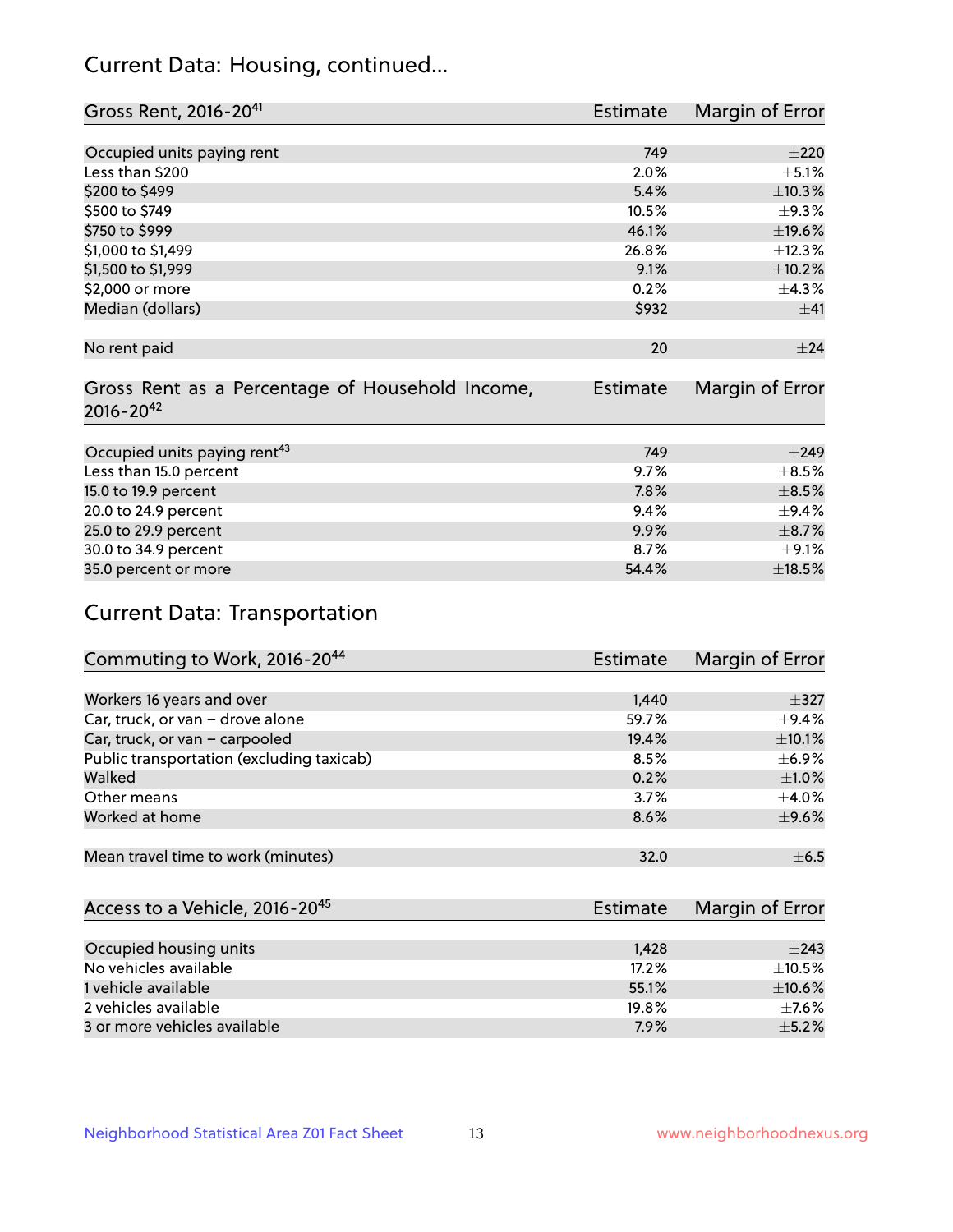## Current Data: Housing, continued...

| Gross Rent, 2016-20 <sup>41</sup>               | <b>Estimate</b> | Margin of Error |
|-------------------------------------------------|-----------------|-----------------|
|                                                 |                 |                 |
| Occupied units paying rent                      | 749             | $\pm 220$       |
| Less than \$200                                 | 2.0%            | $\pm$ 5.1%      |
| \$200 to \$499                                  | 5.4%            | ±10.3%          |
| \$500 to \$749                                  | 10.5%           | $\pm$ 9.3%      |
| \$750 to \$999                                  | 46.1%           | $\pm$ 19.6%     |
| \$1,000 to \$1,499                              | 26.8%           | ±12.3%          |
| \$1,500 to \$1,999                              | 9.1%            | $\pm$ 10.2%     |
| \$2,000 or more                                 | 0.2%            | ±4.3%           |
| Median (dollars)                                | \$932           | ±41             |
|                                                 |                 |                 |
| No rent paid                                    | 20              | ±24             |
|                                                 |                 |                 |
| Gross Rent as a Percentage of Household Income, | <b>Estimate</b> | Margin of Error |
| $2016 - 20^{42}$                                |                 |                 |
|                                                 |                 |                 |
| Occupied units paying rent <sup>43</sup>        | 749             | $\pm$ 249       |
| Less than 15.0 percent                          | 9.7%            | $\pm$ 8.5%      |
| 15.0 to 19.9 percent                            | 7.8%            | $\pm$ 8.5%      |
| 20.0 to 24.9 percent                            | 9.4%            | ±9.4%           |
| 25.0 to 29.9 percent                            | 9.9%            | $\pm$ 8.7%      |
| 30.0 to 34.9 percent                            | 8.7%            | $\pm$ 9.1%      |
| 35.0 percent or more                            | 54.4%           | $\pm$ 18.5%     |

# Current Data: Transportation

| Commuting to Work, 2016-20 <sup>44</sup>  | Estimate | Margin of Error |
|-------------------------------------------|----------|-----------------|
|                                           |          |                 |
| Workers 16 years and over                 | 1,440    | $\pm$ 327       |
| Car, truck, or van - drove alone          | 59.7%    | $\pm$ 9.4%      |
| Car, truck, or van - carpooled            | 19.4%    | $\pm$ 10.1%     |
| Public transportation (excluding taxicab) | 8.5%     | $\pm$ 6.9%      |
| Walked                                    | 0.2%     | $\pm1.0\%$      |
| Other means                               | 3.7%     | $\pm$ 4.0%      |
| Worked at home                            | 8.6%     | $\pm$ 9.6%      |
|                                           |          |                 |
| Mean travel time to work (minutes)        | 32.0     | $\pm$ 6.5       |

| Access to a Vehicle, 2016-20 <sup>45</sup> | Estimate | Margin of Error |
|--------------------------------------------|----------|-----------------|
|                                            |          |                 |
| Occupied housing units                     | 1,428    | $\pm 243$       |
| No vehicles available                      | 17.2%    | $\pm$ 10.5%     |
| 1 vehicle available                        | 55.1%    | $\pm$ 10.6%     |
| 2 vehicles available                       | 19.8%    | $+7.6%$         |
| 3 or more vehicles available               | 7.9%     | $\pm$ 5.2%      |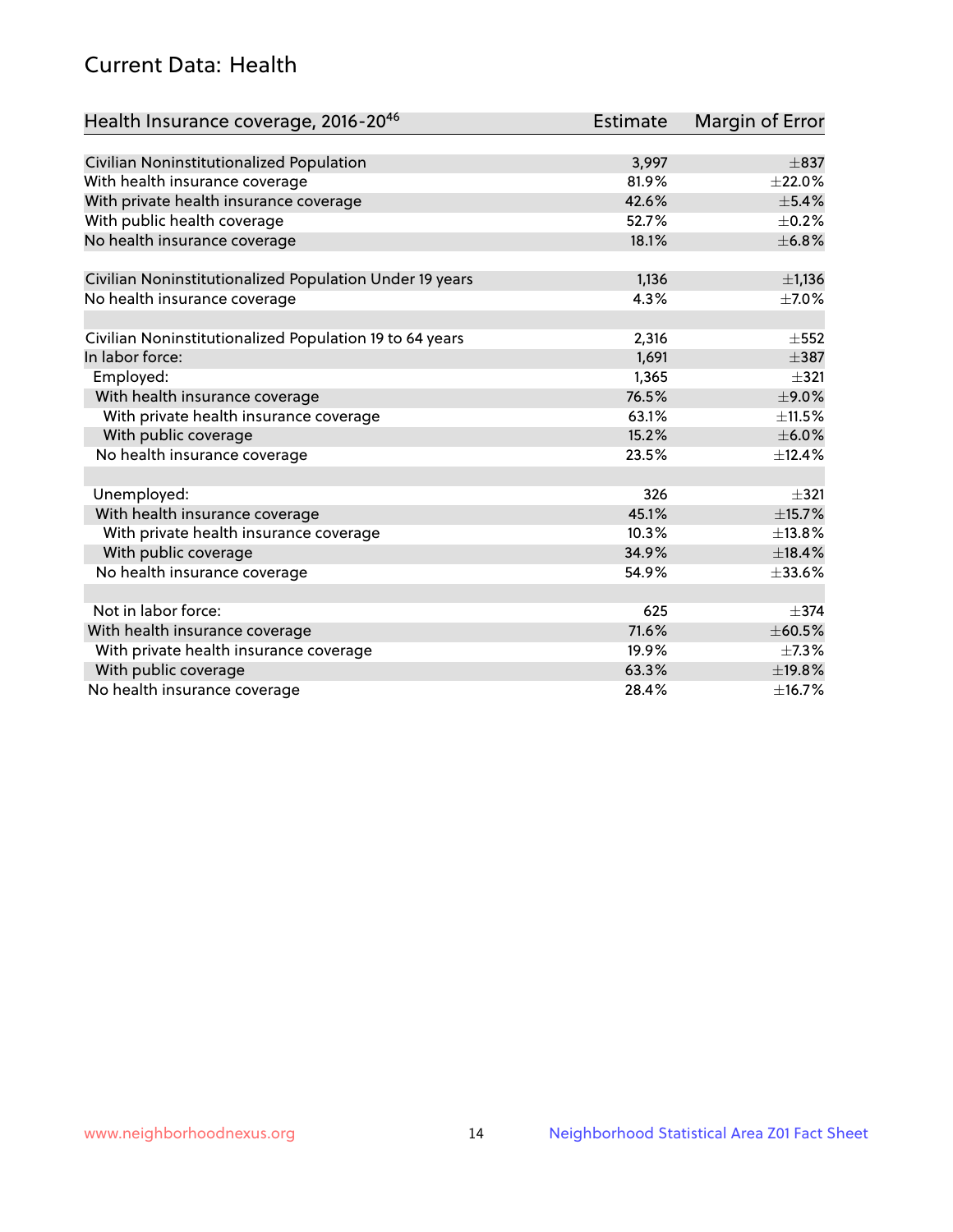## Current Data: Health

| Health Insurance coverage, 2016-2046                    | <b>Estimate</b> | Margin of Error |
|---------------------------------------------------------|-----------------|-----------------|
|                                                         |                 |                 |
| Civilian Noninstitutionalized Population                | 3,997           | $\pm$ 837       |
| With health insurance coverage                          | 81.9%           | $\pm 22.0\%$    |
| With private health insurance coverage                  | 42.6%           | $\pm$ 5.4%      |
| With public health coverage                             | 52.7%           | $\pm$ 0.2%      |
| No health insurance coverage                            | 18.1%           | ±6.8%           |
| Civilian Noninstitutionalized Population Under 19 years | 1,136           | $\pm$ 1,136     |
| No health insurance coverage                            | 4.3%            | $\pm$ 7.0%      |
|                                                         |                 |                 |
| Civilian Noninstitutionalized Population 19 to 64 years | 2,316           | $\pm$ 552       |
| In labor force:                                         | 1,691           | $\pm$ 387       |
| Employed:                                               | 1,365           | $\pm$ 321       |
| With health insurance coverage                          | 76.5%           | $\pm$ 9.0%      |
| With private health insurance coverage                  | 63.1%           | $\pm$ 11.5%     |
| With public coverage                                    | 15.2%           | $\pm$ 6.0%      |
| No health insurance coverage                            | 23.5%           | ±12.4%          |
|                                                         |                 |                 |
| Unemployed:                                             | 326             | $+321$          |
| With health insurance coverage                          | 45.1%           | ±15.7%          |
| With private health insurance coverage                  | 10.3%           | ±13.8%          |
| With public coverage                                    | 34.9%           | ±18.4%          |
| No health insurance coverage                            | 54.9%           | $\pm 33.6\%$    |
|                                                         |                 |                 |
| Not in labor force:                                     | 625             | $\pm$ 374       |
| With health insurance coverage                          | 71.6%           | ±60.5%          |
| With private health insurance coverage                  | 19.9%           | $\pm$ 7.3%      |
| With public coverage                                    | 63.3%           | ±19.8%          |
| No health insurance coverage                            | 28.4%           | ±16.7%          |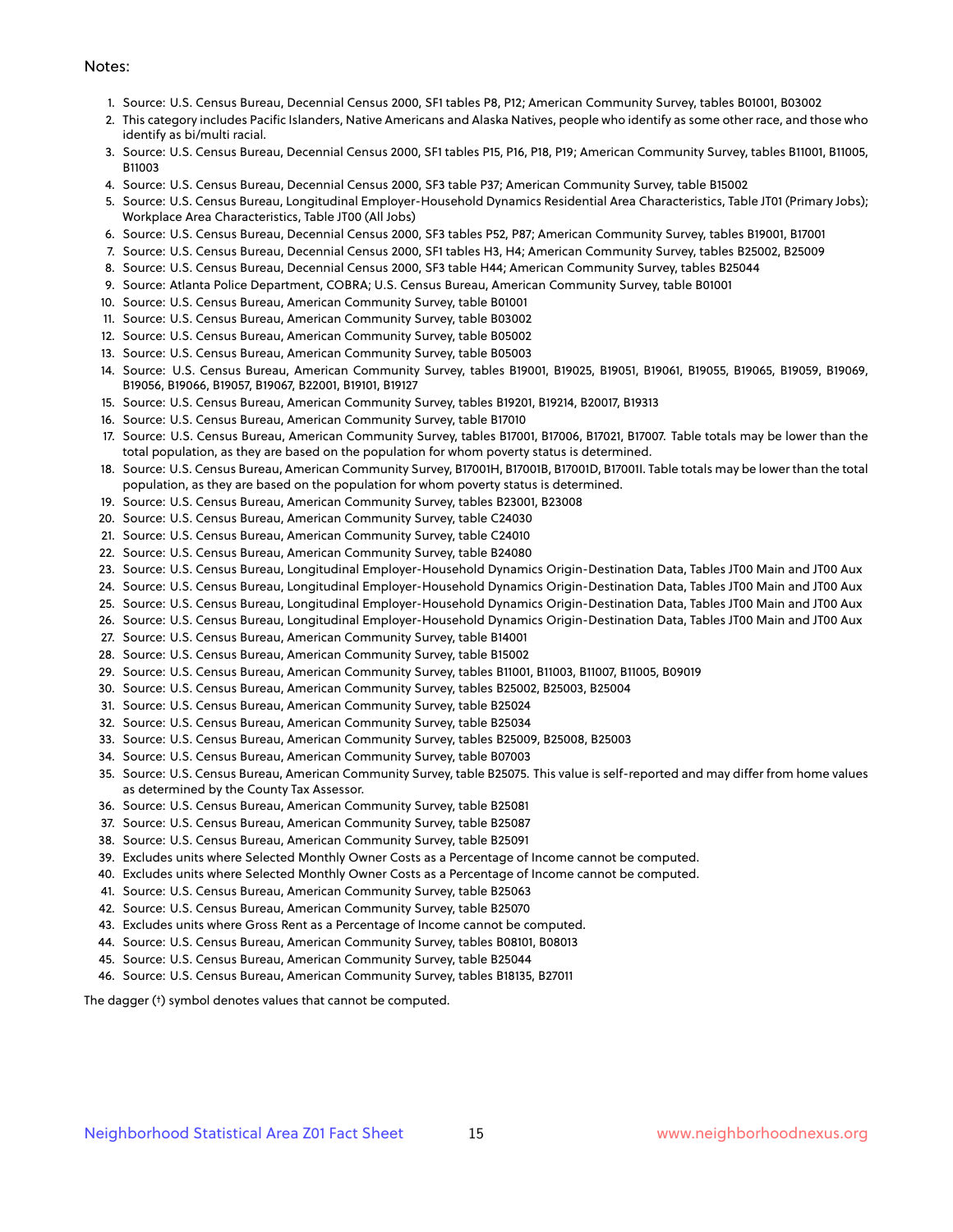#### Notes:

- 1. Source: U.S. Census Bureau, Decennial Census 2000, SF1 tables P8, P12; American Community Survey, tables B01001, B03002
- 2. This category includes Pacific Islanders, Native Americans and Alaska Natives, people who identify as some other race, and those who identify as bi/multi racial.
- 3. Source: U.S. Census Bureau, Decennial Census 2000, SF1 tables P15, P16, P18, P19; American Community Survey, tables B11001, B11005, B11003
- 4. Source: U.S. Census Bureau, Decennial Census 2000, SF3 table P37; American Community Survey, table B15002
- 5. Source: U.S. Census Bureau, Longitudinal Employer-Household Dynamics Residential Area Characteristics, Table JT01 (Primary Jobs); Workplace Area Characteristics, Table JT00 (All Jobs)
- 6. Source: U.S. Census Bureau, Decennial Census 2000, SF3 tables P52, P87; American Community Survey, tables B19001, B17001
- 7. Source: U.S. Census Bureau, Decennial Census 2000, SF1 tables H3, H4; American Community Survey, tables B25002, B25009
- 8. Source: U.S. Census Bureau, Decennial Census 2000, SF3 table H44; American Community Survey, tables B25044
- 9. Source: Atlanta Police Department, COBRA; U.S. Census Bureau, American Community Survey, table B01001
- 10. Source: U.S. Census Bureau, American Community Survey, table B01001
- 11. Source: U.S. Census Bureau, American Community Survey, table B03002
- 12. Source: U.S. Census Bureau, American Community Survey, table B05002
- 13. Source: U.S. Census Bureau, American Community Survey, table B05003
- 14. Source: U.S. Census Bureau, American Community Survey, tables B19001, B19025, B19051, B19061, B19055, B19065, B19059, B19069, B19056, B19066, B19057, B19067, B22001, B19101, B19127
- 15. Source: U.S. Census Bureau, American Community Survey, tables B19201, B19214, B20017, B19313
- 16. Source: U.S. Census Bureau, American Community Survey, table B17010
- 17. Source: U.S. Census Bureau, American Community Survey, tables B17001, B17006, B17021, B17007. Table totals may be lower than the total population, as they are based on the population for whom poverty status is determined.
- 18. Source: U.S. Census Bureau, American Community Survey, B17001H, B17001B, B17001D, B17001I. Table totals may be lower than the total population, as they are based on the population for whom poverty status is determined.
- 19. Source: U.S. Census Bureau, American Community Survey, tables B23001, B23008
- 20. Source: U.S. Census Bureau, American Community Survey, table C24030
- 21. Source: U.S. Census Bureau, American Community Survey, table C24010
- 22. Source: U.S. Census Bureau, American Community Survey, table B24080
- 23. Source: U.S. Census Bureau, Longitudinal Employer-Household Dynamics Origin-Destination Data, Tables JT00 Main and JT00 Aux
- 24. Source: U.S. Census Bureau, Longitudinal Employer-Household Dynamics Origin-Destination Data, Tables JT00 Main and JT00 Aux
- 25. Source: U.S. Census Bureau, Longitudinal Employer-Household Dynamics Origin-Destination Data, Tables JT00 Main and JT00 Aux
- 26. Source: U.S. Census Bureau, Longitudinal Employer-Household Dynamics Origin-Destination Data, Tables JT00 Main and JT00 Aux
- 27. Source: U.S. Census Bureau, American Community Survey, table B14001
- 28. Source: U.S. Census Bureau, American Community Survey, table B15002
- 29. Source: U.S. Census Bureau, American Community Survey, tables B11001, B11003, B11007, B11005, B09019
- 30. Source: U.S. Census Bureau, American Community Survey, tables B25002, B25003, B25004
- 31. Source: U.S. Census Bureau, American Community Survey, table B25024
- 32. Source: U.S. Census Bureau, American Community Survey, table B25034
- 33. Source: U.S. Census Bureau, American Community Survey, tables B25009, B25008, B25003
- 34. Source: U.S. Census Bureau, American Community Survey, table B07003
- 35. Source: U.S. Census Bureau, American Community Survey, table B25075. This value is self-reported and may differ from home values as determined by the County Tax Assessor.
- 36. Source: U.S. Census Bureau, American Community Survey, table B25081
- 37. Source: U.S. Census Bureau, American Community Survey, table B25087
- 38. Source: U.S. Census Bureau, American Community Survey, table B25091
- 39. Excludes units where Selected Monthly Owner Costs as a Percentage of Income cannot be computed.
- 40. Excludes units where Selected Monthly Owner Costs as a Percentage of Income cannot be computed.
- 41. Source: U.S. Census Bureau, American Community Survey, table B25063
- 42. Source: U.S. Census Bureau, American Community Survey, table B25070
- 43. Excludes units where Gross Rent as a Percentage of Income cannot be computed.
- 44. Source: U.S. Census Bureau, American Community Survey, tables B08101, B08013
- 45. Source: U.S. Census Bureau, American Community Survey, table B25044
- 46. Source: U.S. Census Bureau, American Community Survey, tables B18135, B27011

The dagger (†) symbol denotes values that cannot be computed.